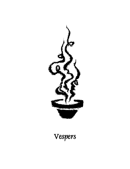# Vespers

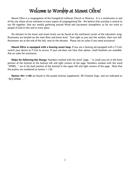# Welcome to Worship at Mount Olivel

Mount Olive is a congregation of the Evangelical Lutheran Church in America. It is a community in and of the city where all are welcome in every aspect of congregational life. We believe that worship is central to our life together, that our weekly gathering around Word and Sacrament strengthens us for our work as people of God in this and in every place.

An elevator to the lower and street levels can be found at the northwest corner of the education wing. Restrooms are located on the main floor and lower level. Turn right as you exit the narthex, then turn left. Restrooms are at the end of the hall, next to the elevator. Please ask an usher if you need assistance!

**Mount Olive is equipped with a hearing assist loop.** If you use a hearing aid equipped with a T-Coil, switch your device to T-Coil to access. If your aid does not have that option, small headsets are available. Ask an usher for assistance.

**Helps for following the liturgy:** Numbers marked with the word "page..." in small case are in the front portion of the hymnal at the bottom left and right corners of the page. Numbers marked with the word "HYMN..." are in the back portion of the hymnal in the upper left and right corners of the page. Note that the psalms are numbered as hymns 1-150.

**Hymns 901-1100** are found in the purple hymnal supplement, *All Creation Sings*, and are indicated as "ACS HYMN …"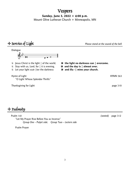### Vespers

**Sunday, June 5, 2022 + 4:00 p.m.**

Mount Olive Lutheran Church + Minneapolis, MN

## + Service of Light *Please stand at the sound of the bell*



- 
- L Stay with us, Lord, for | it is evening, C **and the day is | almost over.**
- L Let your light scat-|ter the darkness C **and illu -| mine your church.**

Hymn of Light **HYMN** 563

Thanksgiving for Light page 310

- L Jesus Christ is the light | of the world, C **the light no darkness can | overcome.**
	-
	-

+ Psalmody

 Psalm 141 *(seated)* page 312 "Let My Prayer Rise Before You as Incense" *Group One – Pulpit side; Group Two – Lectern side*

Psalm Prayer

<sup>&</sup>quot;O Light Whose Splendor Thrills"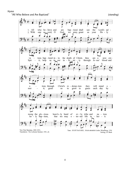#### Hymn

"All Who Believe and Are Baptized" *(standing)*



Setting, J.S. Bach

Translation; The Lutheran Hymnal, 1941, alt.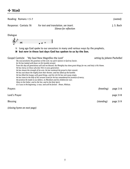| Reading: Romans 1:5-7                                                                                                                                                                                                                                                                                                                                                                                                                                                                                                                                                                                                                                                                                                                                                                                                                                                                                                                                    |            | (seated)   |
|----------------------------------------------------------------------------------------------------------------------------------------------------------------------------------------------------------------------------------------------------------------------------------------------------------------------------------------------------------------------------------------------------------------------------------------------------------------------------------------------------------------------------------------------------------------------------------------------------------------------------------------------------------------------------------------------------------------------------------------------------------------------------------------------------------------------------------------------------------------------------------------------------------------------------------------------------------|------------|------------|
| For text and translation, see insert.<br>Response: Cantata 78<br>Silence for reflection                                                                                                                                                                                                                                                                                                                                                                                                                                                                                                                                                                                                                                                                                                                                                                                                                                                                  |            | J. S. Bach |
| Dialogue                                                                                                                                                                                                                                                                                                                                                                                                                                                                                                                                                                                                                                                                                                                                                                                                                                                                                                                                                 |            |            |
| <b>101</b><br>Long ago God spoke to our ancestors in many and various ways by the prophets,<br>$\mathbf L$<br>but now in these last days God has spoken to us by the Son.<br>G<br>setting by Johann Pachelbel<br>Gospel Canticle: "My Soul Now Magnifies the Lord"<br>My soul proclaims the greatness of the Lord, my spirit rejoices in God my Savior,<br>for He has looked with favor on His humble servant.<br>From this day all generations will call me blessed, the Almighty has done great things for me, and holy is His Name.<br>He has mercy on those who fear Him in every generation.<br>He has shown the strength of his arm, He has scattered the proud in their conceit.<br>He has cast down the mighty from their thrones, and has lifted up the humble.<br>He has filled the hungry with good things, and the rich He has sent away empty.<br>He has come to the help of His servant Israel for He has remembered his promise of mercy, |            |            |
| the promise He made to our fathers, to Abraham and his children for ever.<br>Glory to the Father, and to the Son, and to the Holy Spirit,<br>as it was in the beginning, is now, and will be forever. Amen, Alleluia.                                                                                                                                                                                                                                                                                                                                                                                                                                                                                                                                                                                                                                                                                                                                    |            |            |
| Prayers                                                                                                                                                                                                                                                                                                                                                                                                                                                                                                                                                                                                                                                                                                                                                                                                                                                                                                                                                  | (kneeling) | page 316   |
| Lord's Prayer                                                                                                                                                                                                                                                                                                                                                                                                                                                                                                                                                                                                                                                                                                                                                                                                                                                                                                                                            |            | page 318   |
| <b>Blessing</b>                                                                                                                                                                                                                                                                                                                                                                                                                                                                                                                                                                                                                                                                                                                                                                                                                                                                                                                                          | (standing) | page 319   |

*(closing hymn on next page)*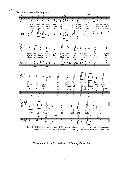#### Hymn

"We Now Implore the Holy Ghost"



Text: St. 1: Medieval German Leise, St 2,3: Martin Luther, 1483-1546. Translation, composite. Tune: NUN BITTEN WIR, J. Walter, 1524. Setting: Johann Sebastian Bach 1685-1750

*Please join us for light refreshments following the service.*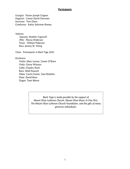#### *Participants*

Liturgist: Pastor Joseph Crippen Organist: Cantor David Cherwien Sacristan: Tom Olsen Conductor: Kathy Saltzman Romey

Soloists:

 Soprano: Heather Cogswell Alto: Alyssa Anderson Tenor: William Pederson Bass: Jeremy M. Wong

Choir: Participants in Bach Tage 2022

Orchestra:

Violin: Marc Levine, Conor O'Brien Viola: Ginna Watson Cello: Charles Asch Bass: Mark Kausch Oboe: Curtis Foster, Sian Ricketts Flute: David Ross Organ: Tami Morse

> *Bach Tage is made possible by the support of Mount Olive Lutheran Church, Mount Olive Music & Fine Arts, The Mount Olive Lutheran Church Foundation, and the gifts of many generous individuals.*